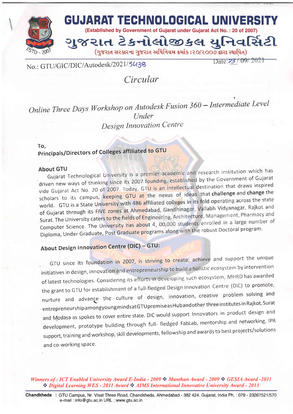

No.: GTU/GIC/DIC/Autodesk/2021/5438

Date: $23/09/2021$ 

t

Circular

Online Three Days Workshop on Autodesk Fusion 360 – Intermediate Level Under Design Innovation Centre

To,

 $\overline{a}$ 

# Principals/Directors of Colleges affiliated to GTU

#### About GTU

Gujarat Technological University is a premier academic and research institution which has driven new ways of thinking since its 2007 founding, established by the Government of Gujarat vide Gujarat Act No. 20 of 2007. Today, GTU is an intellectual destination that draws inspired scholars to its campus, keeping GTU at the nexus of ideas that challenge and change the world. GTU is a State University with 486 affiliated colleges in its fold operating across the state of Gujarat through its FIVE zones at Ahmedabad, Gandhinagar, Vallabh Vidyanagar, Rajkot and Surat. The University caters to the fields of Engineering, Architecture, Management, Pharmacy and Computer Science. The University has about 4, 00,000 students enrolled in a large number of Diploma, Under Graduate, Post Graduate programs along with the robust Doctoral program.

## About Design Innovation Centre (DIC) - GTU:

GTU since its foundation in 2007, is striving to create, achieve and support the unique initiatives in design, innovation and entrepreneurship to build a holistic ecosystem by intervention of latest technologies. Considering its efforts in developing such ecosystem, MHRD has awarded the grant to GTU for establishment of a full-fledged Design Innovation Centre (DIC) to promote, nurture and advance the culture of design, innovation, creative problem solving and ,entrepreneurshipamongyoungmindsatGTUpremiseasHubandotherthreeinstitutesinRajkot,Surat and Modasa as spokes to cover entire state. DIC would support Innovators in product design and development, prototype building through full- fledged FabLab, mentorship and networking, IPR support, training and workshop, skill developments, fellowship and awards to best projects/solutions and co-working space.

#### Winners of : ICT Enabled University Award E-India - 2009  $\cdot$  Manthan Award - 2009  $\cdot \cdot$  GESIA Award -2011 \* Digital Learning WES - 2011 Award \* AIMS International Innovative University Award - 2013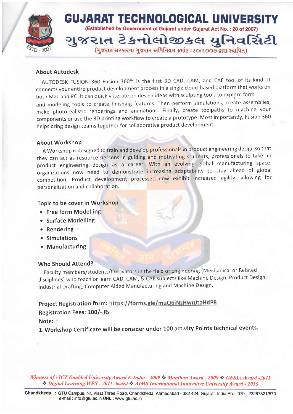

#### About Autodesk

AUTODESK FUSION 360 Fusion 360™ is the first 3D CAD, CAM, and CAE tool of its kind. It connects your entire product development process in a single cloud-based platform that works on both Mac and PC. It can quickly iterate on design ideas with sculpting tools to explore form and modeling tools to create finishing features. Then perform simulations, create assemblies, make photorealistic renderings and animations. Finally, create toolpaths to machine your components or use the 3D printing workflow to create a prototype. Most importantly, Fusion 360 helps bring design teams together for collaborative product development.

#### About Workshop

A Workshop is designed to train and develop professionals in product engineering design so that they can act as resource persons in guiding and motivating students, professionals to take up product engineering design as a career. With an evolving global manufacturing space, organizations now need to demonstrate increasing adaptability to stay ahead of global competition. Product development processes now exhibit increased agility, allowing for personalization and collaboration.

#### Topic to be cover in Workshop

- , . Free form Modelling
	- o Surface Modelling
	- o Rendering
	- **•** Simulations
	- o Manufacturing

### Who Should Attend?

Faculty members/students/lnnovators in the field of Engineering (Mechanical or Related disciplines) who teach or learn CAD, CAM, & CAE subjects like Machine Design, Product Design, lndustrial Drafting, Computer Aided Manufacturing and Machine Design'

## Project Registration form: https://forms.gle/muQ6iNzHwuJtaHdP8

### Registration Fees: 100/- Rs

Note:

l.Workshop Certificate will be consider under 100 activity Points technical events.

Winners of : ICT Enabled University Award E-India - 2009  $\cdot$  Manthan Award - 2009  $\cdot \cdot$  GESIA Award -2011 \* Digital Learning WES - 2011 Award \* AIMS International Innovative University Award - 2013